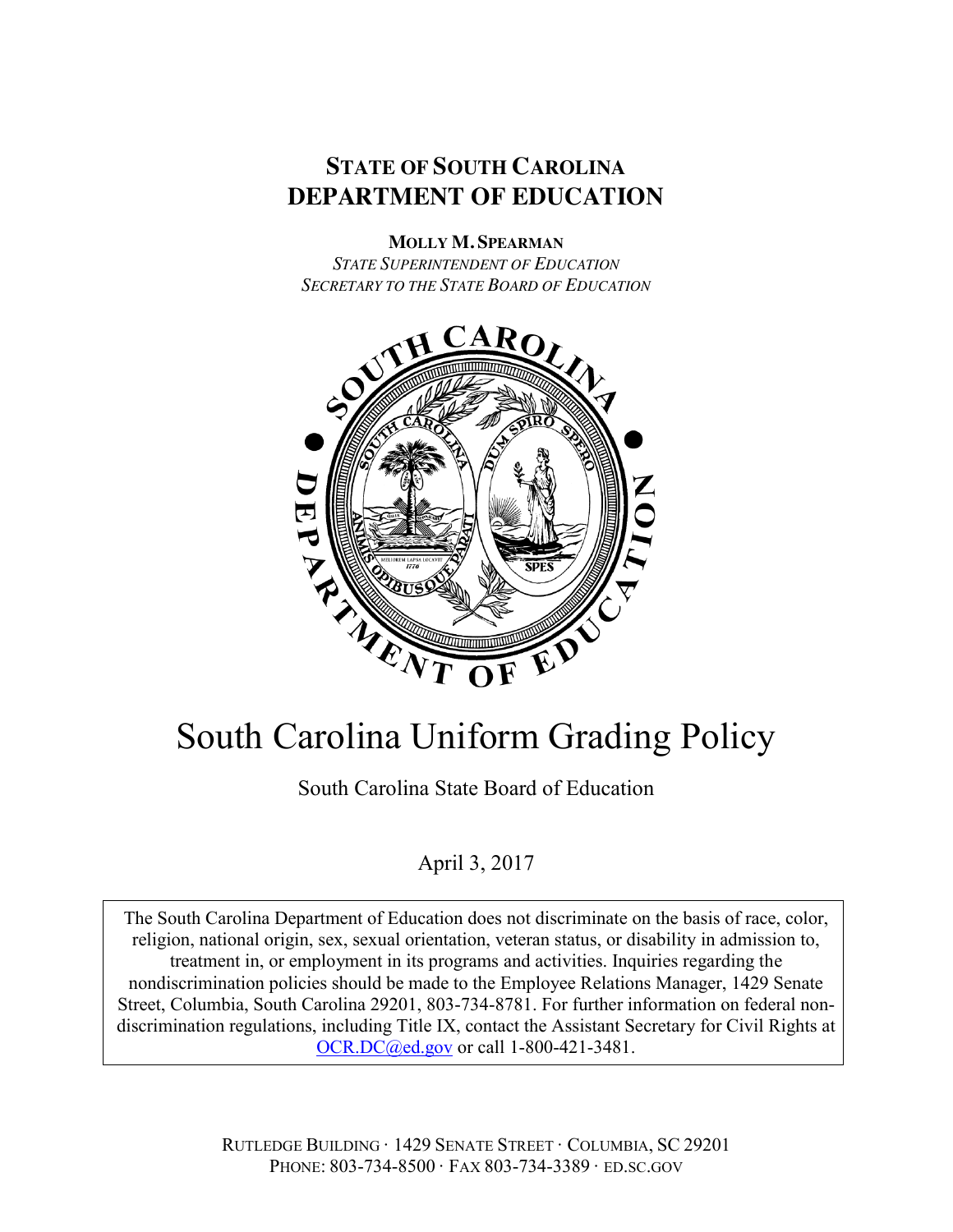# **STATE OF SOUTH CAROLINA DEPARTMENT OF EDUCATION**

# **MOLLY M. SPEARMAN**

*STATE SUPERINTENDENT OF EDUCATION SECRETARY TO THE STATE BOARD OF EDUCATION*



# South Carolina Uniform Grading Policy

South Carolina State Board of Education

# April 3, 2017

The South Carolina Department of Education does not discriminate on the basis of race, color, religion, national origin, sex, sexual orientation, veteran status, or disability in admission to, treatment in, or employment in its programs and activities. Inquiries regarding the nondiscrimination policies should be made to the Employee Relations Manager, 1429 Senate Street, Columbia, South Carolina 29201, 803-734-8781. For further information on federal nondiscrimination regulations, including Title IX, contact the Assistant Secretary for Civil Rights at OCR.DC@ed.gov or call 1-800-421-3481.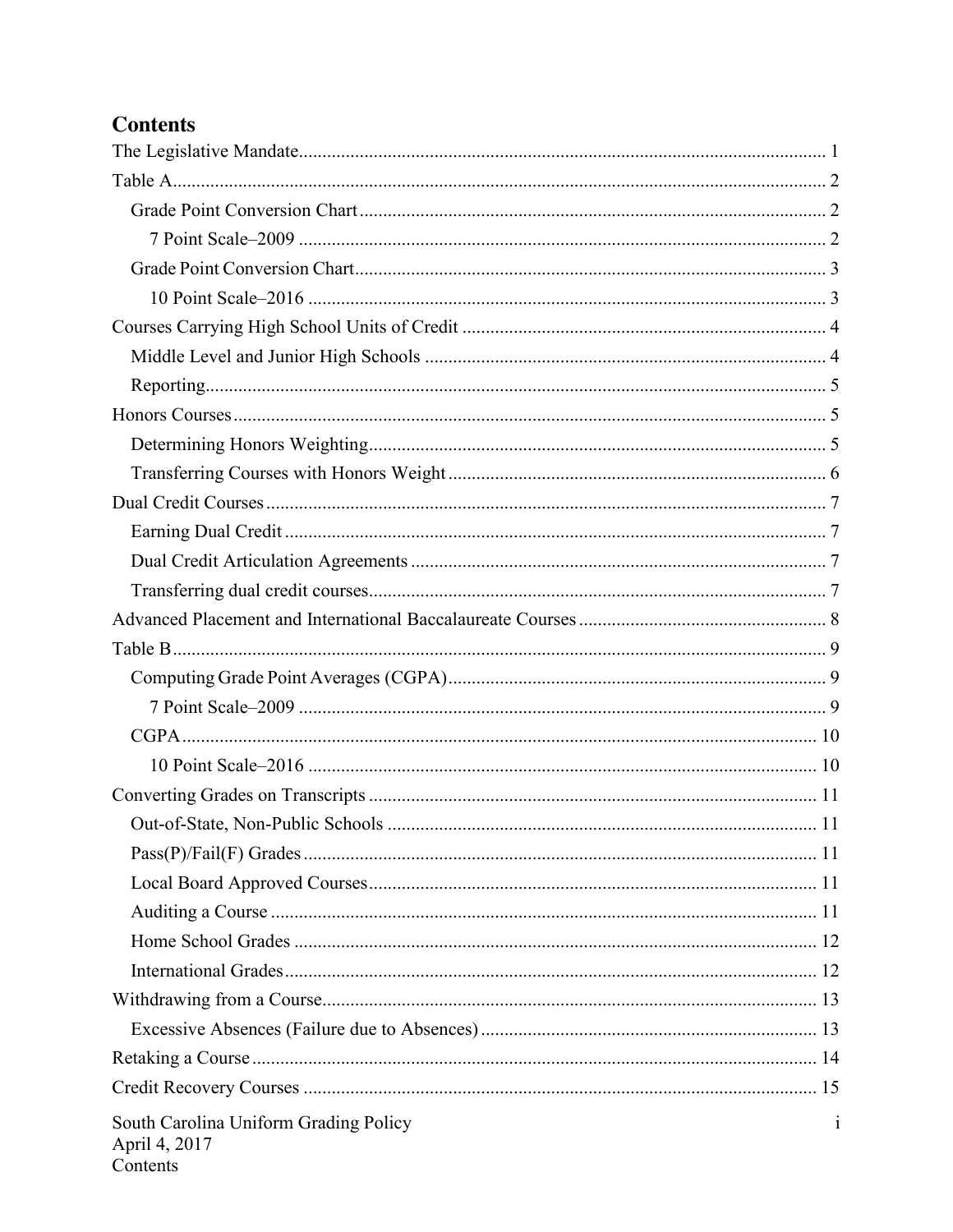# **Contents**

| South Carolina Uniform Grading Policy<br>April 4, 2017<br>Contents | 1 |
|--------------------------------------------------------------------|---|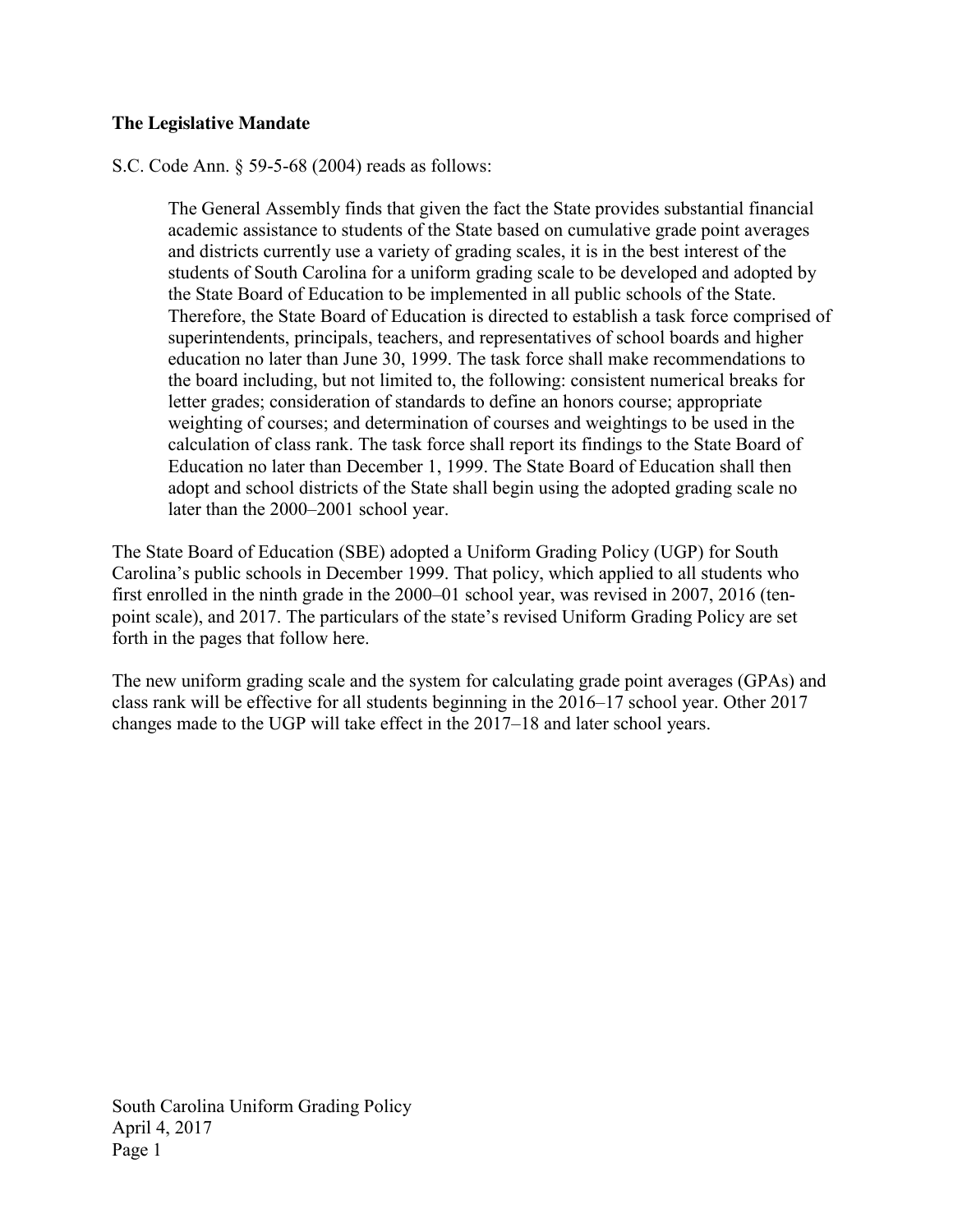# **The Legislative Mandate**

S.C. Code Ann. § 59-5-68 (2004) reads as follows:

The General Assembly finds that given the fact the State provides substantial financial academic assistance to students of the State based on cumulative grade point averages and districts currently use a variety of grading scales, it is in the best interest of the students of South Carolina for a uniform grading scale to be developed and adopted by the State Board of Education to be implemented in all public schools of the State. Therefore, the State Board of Education is directed to establish a task force comprised of superintendents, principals, teachers, and representatives of school boards and higher education no later than June 30, 1999. The task force shall make recommendations to the board including, but not limited to, the following: consistent numerical breaks for letter grades; consideration of standards to define an honors course; appropriate weighting of courses; and determination of courses and weightings to be used in the calculation of class rank. The task force shall report its findings to the State Board of Education no later than December 1, 1999. The State Board of Education shall then adopt and school districts of the State shall begin using the adopted grading scale no later than the 2000–2001 school year.

The State Board of Education (SBE) adopted a Uniform Grading Policy (UGP) for South Carolina's public schools in December 1999. That policy, which applied to all students who first enrolled in the ninth grade in the 2000–01 school year, was revised in 2007, 2016 (tenpoint scale), and 2017. The particulars of the state's revised Uniform Grading Policy are set forth in the pages that follow here.

The new uniform grading scale and the system for calculating grade point averages (GPAs) and class rank will be effective for all students beginning in the 2016–17 school year. Other 2017 changes made to the UGP will take effect in the 2017–18 and later school years.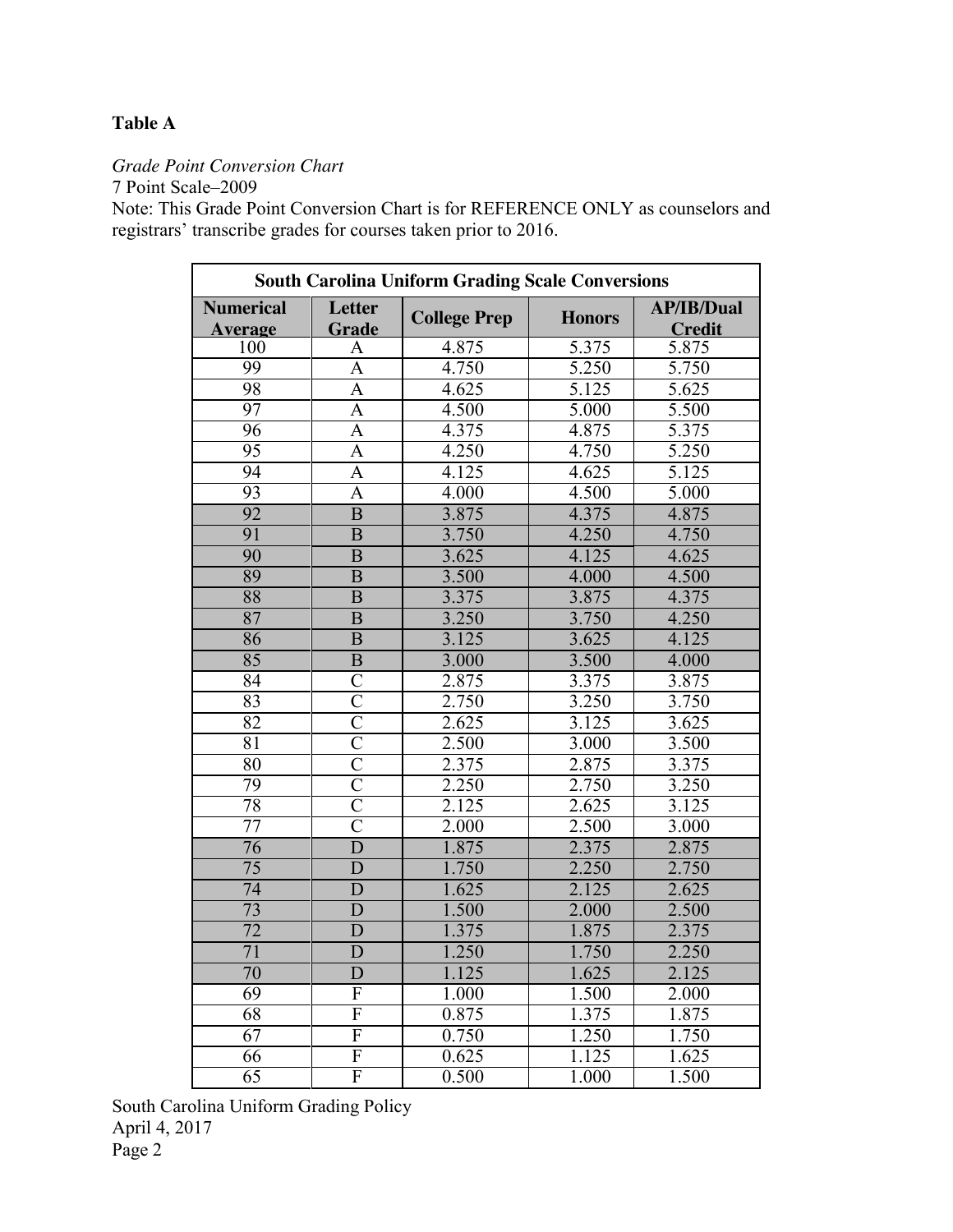# **Table A**

*Grade Point Conversion Chart*

7 Point Scale–2009

Note: This Grade Point Conversion Chart is for REFERENCE ONLY as counselors and registrars' transcribe grades for courses taken prior to 2016.

| <b>South Carolina Uniform Grading Scale Conversions</b> |                         |                     |                                    |                                      |  |
|---------------------------------------------------------|-------------------------|---------------------|------------------------------------|--------------------------------------|--|
| <b>Numerical</b><br><b>Average</b>                      | <b>Letter</b><br>Grade  | <b>College Prep</b> | <b>AP/IB/Dual</b><br><b>Honors</b> |                                      |  |
| 100                                                     | A                       | 4.875               | 5.375                              | <b>Credit</b><br>$\overline{5}$ .875 |  |
| 99                                                      | A                       | 4.750               | 5.250                              | 5.750                                |  |
| 98                                                      | A                       | 4.625               | 5.125                              | 5.625                                |  |
| 97                                                      | A                       | 4.500               | 5.000                              | 5.500                                |  |
| 96                                                      | A                       | 4.375               | 4.875                              | 5.375                                |  |
| 95                                                      | A                       | 4.250               | 4.750                              | 5.250                                |  |
| 94                                                      | A                       | 4.125               | 4.625                              | 5.125                                |  |
| $\overline{93}$                                         | $\overline{A}$          | 4.000               | 4.500                              | 5.000                                |  |
| 92                                                      | $\overline{B}$          | 3.875               | 4.375                              | 4.875                                |  |
| 91                                                      | $\overline{B}$          | 3.750               | 4.250                              | 4.750                                |  |
| 90                                                      | B                       | 3.625               | 4.125                              | 4.625                                |  |
| 89                                                      | B                       | 3.500               | 4.000                              | 4.500                                |  |
| 88                                                      | $\overline{B}$          | 3.375               | 3.875                              | 4.375                                |  |
| $\overline{87}$                                         | $\overline{B}$          | 3.250               | 3.750                              | 4.250                                |  |
| 86                                                      | $\overline{B}$          | 3.125               | 3.625                              | 4.125                                |  |
| 85                                                      | $\overline{B}$          | 3.000               | 3.500                              | 4.000                                |  |
| 84                                                      | $\overline{\rm C}$      | 2.875               | 3.375                              | 3.875                                |  |
| 83                                                      | $\overline{C}$          | 2.750               | 3.250                              | 3.750                                |  |
| 82                                                      | $\overline{\rm C}$      | 2.625               | 3.125                              | 3.625                                |  |
| 81                                                      | $\overline{\rm C}$      | 2.500               | 3.000                              | 3.500                                |  |
| $\overline{80}$                                         | $\overline{\rm C}$      | 2.375               | 2.875                              | 3.375                                |  |
| 79                                                      | $\overline{\mathsf{C}}$ | 2.250               | 2.750                              | 3.250                                |  |
| 78                                                      | $\overline{\rm C}$      | 2.125               | 2.625                              | 3.125                                |  |
| 77                                                      | $\overline{\rm C}$      | 2.000               | 2.500                              | 3.000                                |  |
| 76                                                      | $\overline{\text{D}}$   | 1.875               | 2.375                              | 2.875                                |  |
| $\overline{75}$                                         | $\overline{\text{D}}$   | 1.750               | 2.250                              | 2.750                                |  |
| 74                                                      | D                       | 1.625               | 2.125                              | 2.625                                |  |
| 73                                                      | D                       | 1.500               | 2.000                              | 2.500                                |  |
| $\overline{72}$                                         | D                       | 1.375               | 1.875                              | 2.375                                |  |
| $\overline{71}$                                         | D                       | 1.250               | 1.750                              | 2.250                                |  |
| 70                                                      | D                       | 1.125               | 1.625                              | 2.125                                |  |
| 69                                                      | F                       | 1.000               | 1.500                              | 2.000                                |  |
| 68                                                      | $\overline{\mathrm{F}}$ | 0.875               | 1.375                              | 1.875                                |  |
| 67                                                      | $\overline{\mathrm{F}}$ | 0.750               | 1.250                              | 1.750                                |  |
| 66                                                      | $\overline{\mathrm{F}}$ | 0.625               | 1.125                              | 1.625                                |  |
| $\overline{65}$                                         | $\overline{\mathrm{F}}$ | 0.500               | 1.000                              | 1.500                                |  |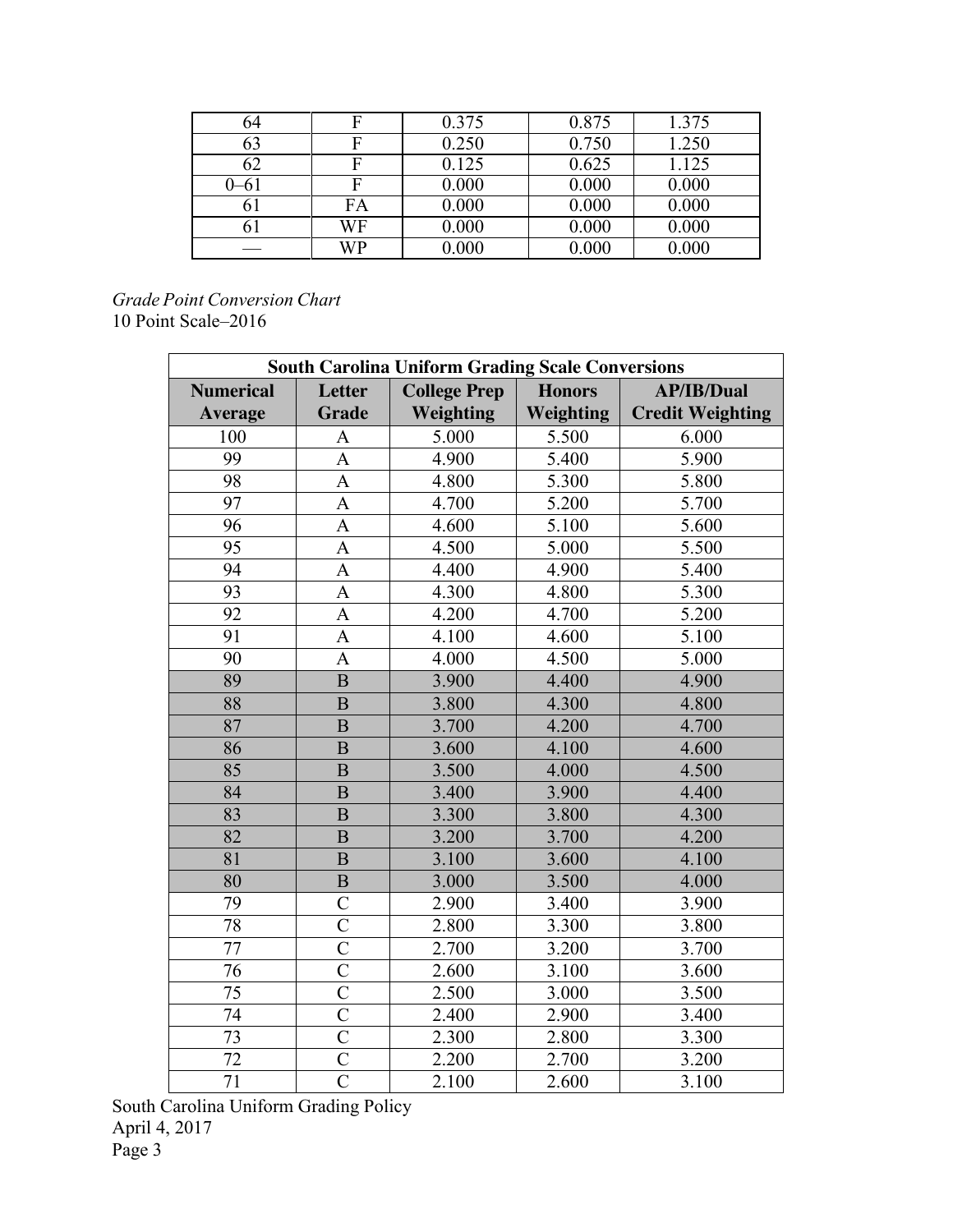| 64       |    | 0.375 | 0.875 | 1.375 |
|----------|----|-------|-------|-------|
| 63       |    | 0.250 | 0.750 | 1.250 |
| 62       |    | 0.125 | 0.625 | 1.125 |
| $0 - 6i$ |    | 0.000 | 0.000 | 0.000 |
| 61       | FA | 0.000 | 0.000 | 0.000 |
| 61       | WF | 0.000 | 0.000 | 0.000 |
|          | WP | 0.000 | 0.000 | 0.000 |

*Grade Point Conversion Chart* 10 Point Scale–2016

| <b>South Carolina Uniform Grading Scale Conversions</b> |                    |                                                           |           |                         |  |  |
|---------------------------------------------------------|--------------------|-----------------------------------------------------------|-----------|-------------------------|--|--|
| <b>Numerical</b>                                        | <b>Letter</b>      | <b>College Prep</b><br><b>Honors</b><br><b>AP/IB/Dual</b> |           |                         |  |  |
| <b>Average</b>                                          | <b>Grade</b>       | <b>Weighting</b>                                          | Weighting | <b>Credit Weighting</b> |  |  |
| 100                                                     | $\mathbf{A}$       | 5.000                                                     | 5.500     | 6.000                   |  |  |
| 99                                                      | $\overline{A}$     | 4.900                                                     | 5.400     | 5.900                   |  |  |
| $\overline{98}$                                         | $\mathbf{A}$       | 4.800                                                     | 5.300     | 5.800                   |  |  |
| 97                                                      | $\mathbf{A}$       | 4.700                                                     | 5.200     | 5.700                   |  |  |
| 96                                                      | $\overline{A}$     | 4.600                                                     | 5.100     | 5.600                   |  |  |
| 95                                                      | $\overline{A}$     | 4.500                                                     | 5.000     | 5.500                   |  |  |
| 94                                                      | $\overline{A}$     | 4.400                                                     | 4.900     | 5.400                   |  |  |
| $\overline{93}$                                         | $\overline{A}$     | 4.300                                                     | 4.800     | 5.300                   |  |  |
| $\overline{92}$                                         | $\overline{A}$     | 4.200                                                     | 4.700     | 5.200                   |  |  |
| 91                                                      | A                  | 4.100                                                     | 4.600     | 5.100                   |  |  |
| 90                                                      | $\mathbf{A}$       | 4.000                                                     | 4.500     | 5.000                   |  |  |
| 89                                                      | $\overline{B}$     | 3.900                                                     | 4.400     | 4.900                   |  |  |
| 88                                                      | B                  | 3.800                                                     | 4.300     | 4.800                   |  |  |
| 87                                                      | B                  | 3.700                                                     | 4.200     | 4.700                   |  |  |
| 86                                                      | $\overline{B}$     | 3.600                                                     | 4.100     | 4.600                   |  |  |
| 85                                                      | B                  | 3.500                                                     | 4.000     | 4.500                   |  |  |
| 84                                                      | B                  | 3.400                                                     | 3.900     | 4.400                   |  |  |
| 83                                                      | B                  | 3.300                                                     | 3.800     | 4.300                   |  |  |
| $\overline{82}$                                         | B                  | 3.200                                                     | 3.700     | 4.200                   |  |  |
| 81                                                      | $\overline{B}$     | 3.100                                                     | 3.600     | 4.100                   |  |  |
| 80                                                      | $\overline{B}$     | 3.000                                                     | 3.500     | 4.000                   |  |  |
| 79                                                      | $\overline{C}$     | 2.900                                                     | 3.400     | 3.900                   |  |  |
| 78                                                      | $\overline{C}$     | 2.800                                                     | 3.300     | 3.800                   |  |  |
| 77                                                      | $\overline{C}$     | 2.700                                                     | 3.200     | 3.700                   |  |  |
| $\overline{76}$                                         | $\overline{\rm C}$ | 2.600                                                     | 3.100     | 3.600                   |  |  |
| 75                                                      | $\overline{C}$     | 2.500                                                     | 3.000     | 3.500                   |  |  |
| 74                                                      | $\overline{C}$     | 2.400                                                     | 2.900     | 3.400                   |  |  |
| 73                                                      | $\overline{C}$     | 2.300                                                     | 2.800     | 3.300                   |  |  |
| 72                                                      | $\overline{C}$     | 2.200                                                     | 2.700     | 3.200                   |  |  |
| 71                                                      | $\overline{C}$     | 2.100                                                     | 2.600     | 3.100                   |  |  |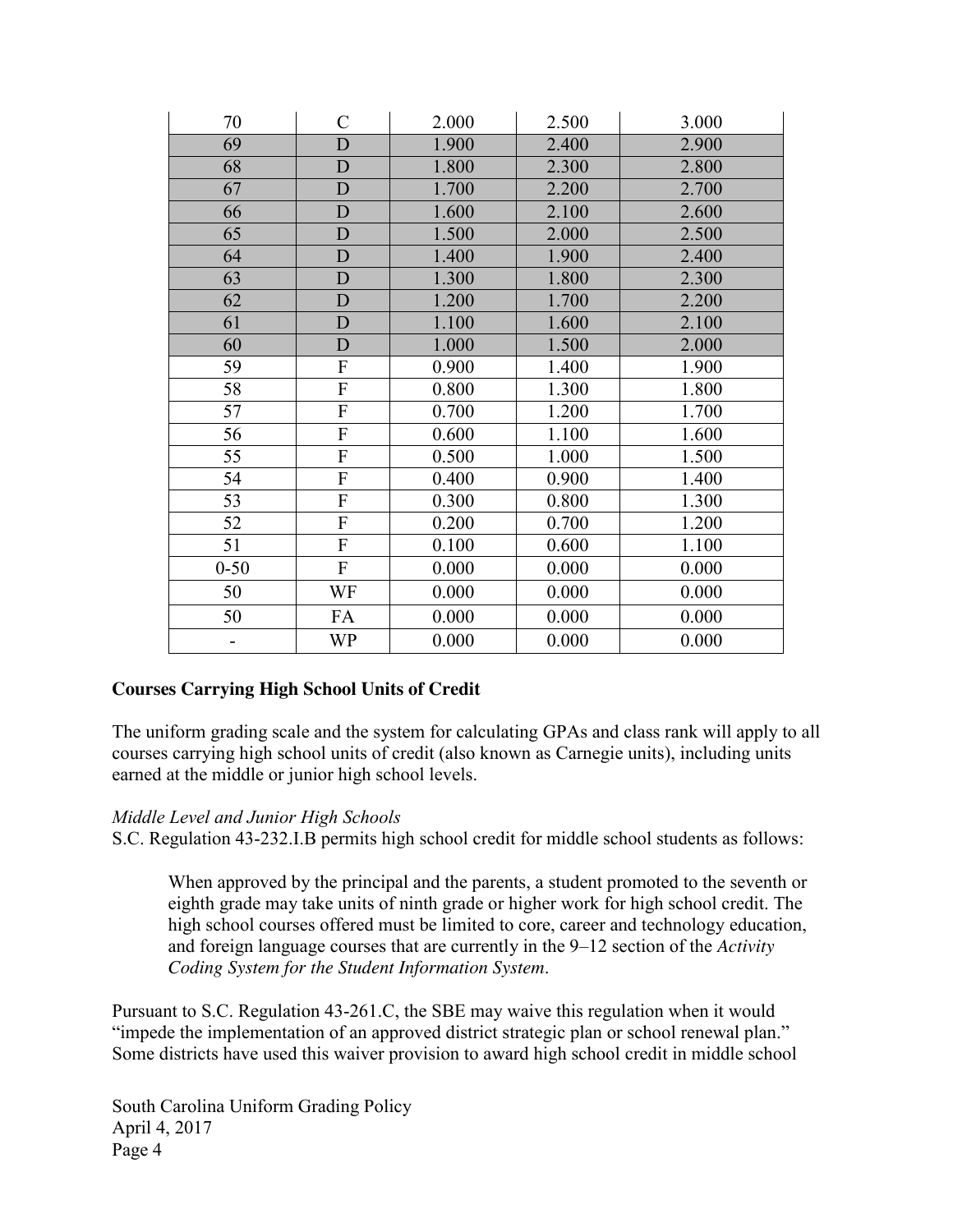| 70       | $\mathcal{C}$             | 2.000 | 2.500 | 3.000 |
|----------|---------------------------|-------|-------|-------|
| 69       | D                         | 1.900 | 2.400 | 2.900 |
| 68       | D                         | 1.800 | 2.300 | 2.800 |
| 67       | D                         | 1.700 | 2.200 | 2.700 |
| 66       | D                         | 1.600 | 2.100 | 2.600 |
| 65       | $\mathbf{D}$              | 1.500 | 2.000 | 2.500 |
| 64       | $\mathbf{D}$              | 1.400 | 1.900 | 2.400 |
| 63       | $\mathbf{D}$              | 1.300 | 1.800 | 2.300 |
| 62       | D                         | 1.200 | 1.700 | 2.200 |
| 61       | $\mathbf{D}$              | 1.100 | 1.600 | 2.100 |
| 60       | $\mathbf{D}$              | 1.000 | 1.500 | 2.000 |
| 59       | ${\bf F}$                 | 0.900 | 1.400 | 1.900 |
| 58       | ${\bf F}$                 | 0.800 | 1.300 | 1.800 |
| 57       | ${\bf F}$                 | 0.700 | 1.200 | 1.700 |
| 56       | $\boldsymbol{\mathrm{F}}$ | 0.600 | 1.100 | 1.600 |
| 55       | ${\bf F}$                 | 0.500 | 1.000 | 1.500 |
| 54       | ${\bf F}$                 | 0.400 | 0.900 | 1.400 |
| 53       | $\mathbf F$               | 0.300 | 0.800 | 1.300 |
| 52       | $\mathbf F$               | 0.200 | 0.700 | 1.200 |
| 51       | F                         | 0.100 | 0.600 | 1.100 |
| $0 - 50$ | F                         | 0.000 | 0.000 | 0.000 |
| 50       | WF                        | 0.000 | 0.000 | 0.000 |
| 50       | FA                        | 0.000 | 0.000 | 0.000 |
|          | WP                        | 0.000 | 0.000 | 0.000 |

# **Courses Carrying High School Units of Credit**

The uniform grading scale and the system for calculating GPAs and class rank will apply to all courses carrying high school units of credit (also known as Carnegie units), including units earned at the middle or junior high school levels.

#### *Middle Level and Junior High Schools*

S.C. Regulation 43-232.I.B permits high school credit for middle school students as follows:

When approved by the principal and the parents, a student promoted to the seventh or eighth grade may take units of ninth grade or higher work for high school credit. The high school courses offered must be limited to core, career and technology education, and foreign language courses that are currently in the 9–12 section of the *Activity Coding System for the Student Information System*.

Pursuant to S.C. Regulation 43-261.C, the SBE may waive this regulation when it would "impede the implementation of an approved district strategic plan or school renewal plan." Some districts have used this waiver provision to award high school credit in middle school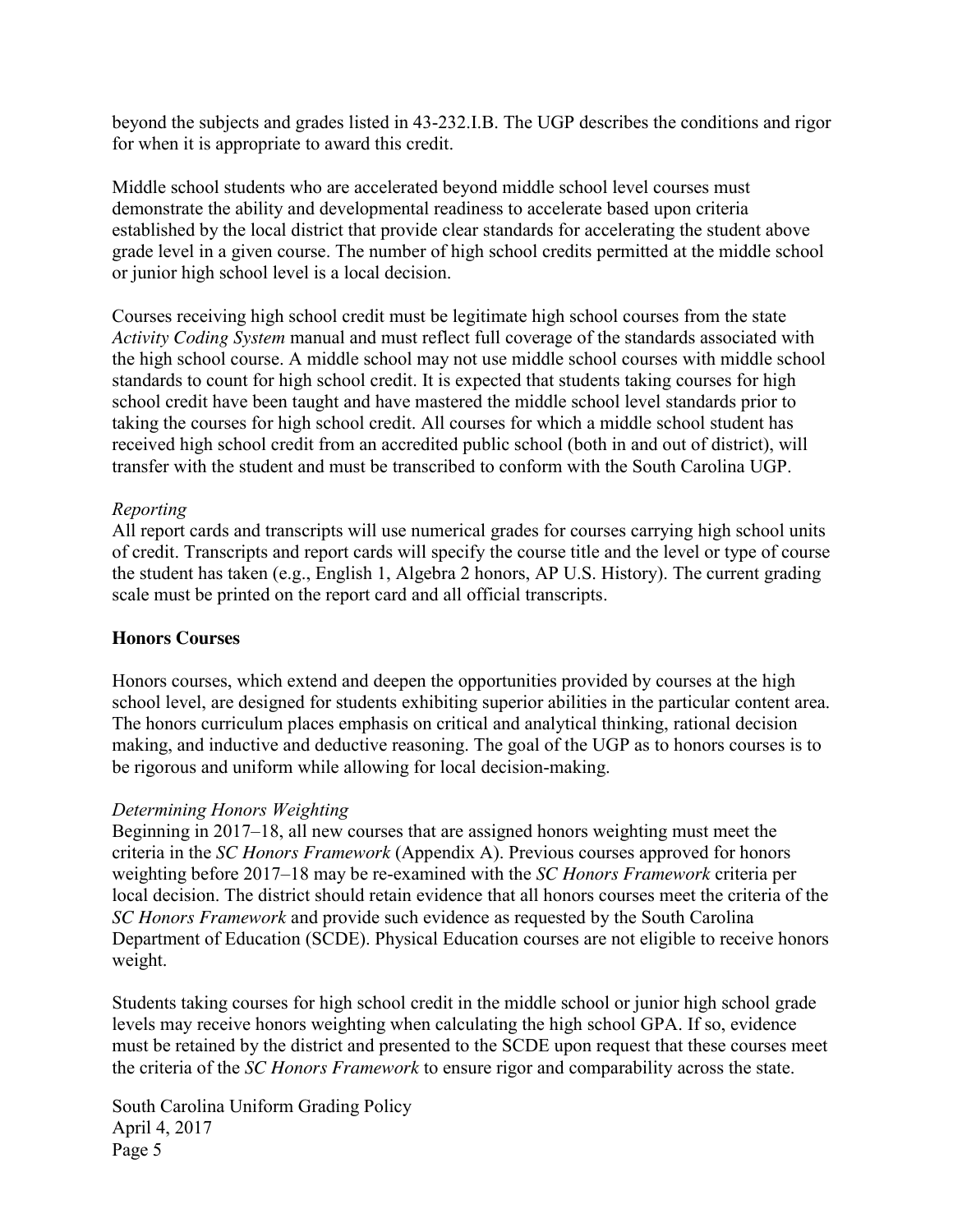beyond the subjects and grades listed in 43-232.I.B. The UGP describes the conditions and rigor for when it is appropriate to award this credit.

Middle school students who are accelerated beyond middle school level courses must demonstrate the ability and developmental readiness to accelerate based upon criteria established by the local district that provide clear standards for accelerating the student above grade level in a given course. The number of high school credits permitted at the middle school or junior high school level is a local decision.

Courses receiving high school credit must be legitimate high school courses from the state *Activity Coding System* manual and must reflect full coverage of the standards associated with the high school course. A middle school may not use middle school courses with middle school standards to count for high school credit. It is expected that students taking courses for high school credit have been taught and have mastered the middle school level standards prior to taking the courses for high school credit. All courses for which a middle school student has received high school credit from an accredited public school (both in and out of district), will transfer with the student and must be transcribed to conform with the South Carolina UGP.

# *Reporting*

All report cards and transcripts will use numerical grades for courses carrying high school units of credit. Transcripts and report cards will specify the course title and the level or type of course the student has taken (e.g., English 1, Algebra 2 honors, AP U.S. History). The current grading scale must be printed on the report card and all official transcripts.

# **Honors Courses**

Honors courses, which extend and deepen the opportunities provided by courses at the high school level, are designed for students exhibiting superior abilities in the particular content area. The honors curriculum places emphasis on critical and analytical thinking, rational decision making, and inductive and deductive reasoning. The goal of the UGP as to honors courses is to be rigorous and uniform while allowing for local decision-making.

# *Determining Honors Weighting*

Beginning in 2017–18, all new courses that are assigned honors weighting must meet the criteria in the *SC Honors Framework* (Appendix A). Previous courses approved for honors weighting before 2017–18 may be re-examined with the *SC Honors Framework* criteria per local decision. The district should retain evidence that all honors courses meet the criteria of the *SC Honors Framework* and provide such evidence as requested by the South Carolina Department of Education (SCDE). Physical Education courses are not eligible to receive honors weight.

Students taking courses for high school credit in the middle school or junior high school grade levels may receive honors weighting when calculating the high school GPA. If so, evidence must be retained by the district and presented to the SCDE upon request that these courses meet the criteria of the *SC Honors Framework* to ensure rigor and comparability across the state.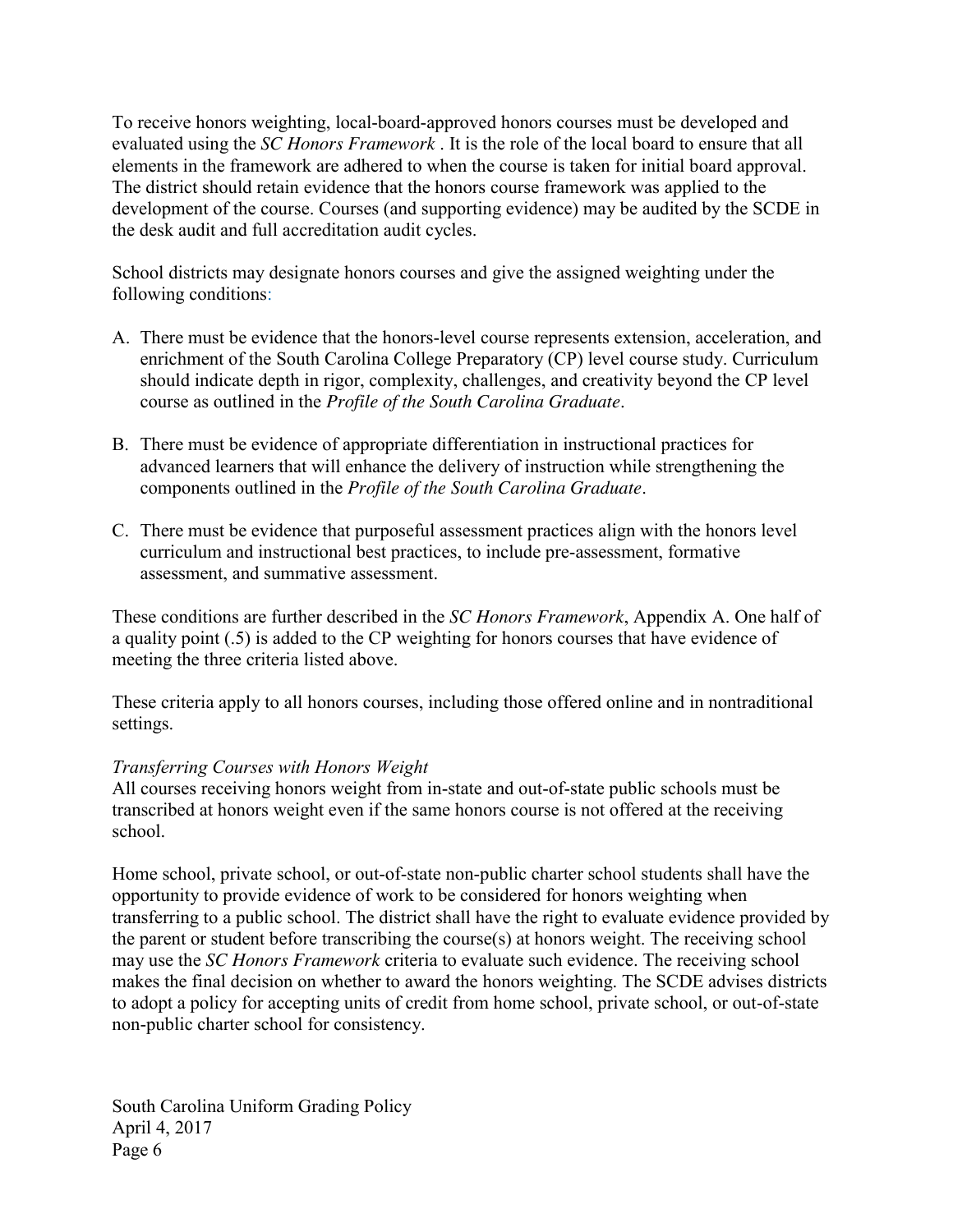To receive honors weighting, local-board-approved honors courses must be developed and evaluated using the *SC Honors Framework* . It is the role of the local board to ensure that all elements in the framework are adhered to when the course is taken for initial board approval. The district should retain evidence that the honors course framework was applied to the development of the course. Courses (and supporting evidence) may be audited by the SCDE in the desk audit and full accreditation audit cycles.

School districts may designate honors courses and give the assigned weighting under the following conditions:

- A. There must be evidence that the honors-level course represents extension, acceleration, and enrichment of the South Carolina College Preparatory (CP) level course study. Curriculum should indicate depth in rigor, complexity, challenges, and creativity beyond the CP level course as outlined in the *Profile of the South Carolina Graduate*.
- B. There must be evidence of appropriate differentiation in instructional practices for advanced learners that will enhance the delivery of instruction while strengthening the components outlined in the *Profile of the South Carolina Graduate*.
- C. There must be evidence that purposeful assessment practices align with the honors level curriculum and instructional best practices, to include pre-assessment, formative assessment, and summative assessment.

These conditions are further described in the *SC Honors Framework*, Appendix A. One half of a quality point (.5) is added to the CP weighting for honors courses that have evidence of meeting the three criteria listed above.

These criteria apply to all honors courses, including those offered online and in nontraditional settings.

# *Transferring Courses with Honors Weight*

All courses receiving honors weight from in-state and out-of-state public schools must be transcribed at honors weight even if the same honors course is not offered at the receiving school.

Home school, private school, or out-of-state non-public charter school students shall have the opportunity to provide evidence of work to be considered for honors weighting when transferring to a public school. The district shall have the right to evaluate evidence provided by the parent or student before transcribing the course(s) at honors weight. The receiving school may use the *SC Honors Framework* criteria to evaluate such evidence. The receiving school makes the final decision on whether to award the honors weighting. The SCDE advises districts to adopt a policy for accepting units of credit from home school, private school, or out-of-state non-public charter school for consistency.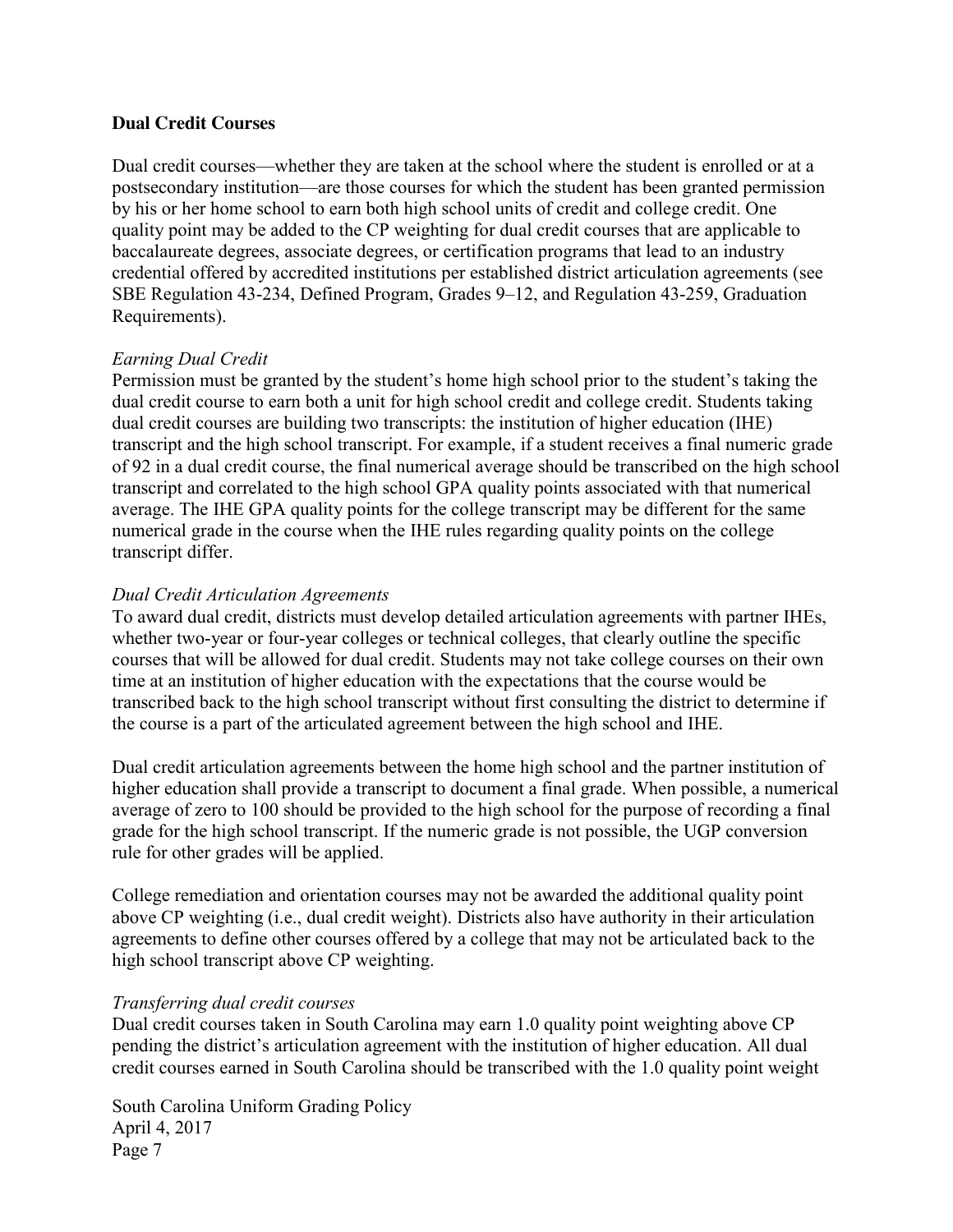# **Dual Credit Courses**

Dual credit courses—whether they are taken at the school where the student is enrolled or at a postsecondary institution—are those courses for which the student has been granted permission by his or her home school to earn both high school units of credit and college credit. One quality point may be added to the CP weighting for dual credit courses that are applicable to baccalaureate degrees, associate degrees, or certification programs that lead to an industry credential offered by accredited institutions per established district articulation agreements (see SBE Regulation 43-234, Defined Program, Grades 9–12, and Regulation 43-259, Graduation Requirements).

# *Earning Dual Credit*

Permission must be granted by the student's home high school prior to the student's taking the dual credit course to earn both a unit for high school credit and college credit. Students taking dual credit courses are building two transcripts: the institution of higher education (IHE) transcript and the high school transcript. For example, if a student receives a final numeric grade of 92 in a dual credit course, the final numerical average should be transcribed on the high school transcript and correlated to the high school GPA quality points associated with that numerical average. The IHE GPA quality points for the college transcript may be different for the same numerical grade in the course when the IHE rules regarding quality points on the college transcript differ.

# *Dual Credit Articulation Agreements*

To award dual credit, districts must develop detailed articulation agreements with partner IHEs, whether two-year or four-year colleges or technical colleges, that clearly outline the specific courses that will be allowed for dual credit. Students may not take college courses on their own time at an institution of higher education with the expectations that the course would be transcribed back to the high school transcript without first consulting the district to determine if the course is a part of the articulated agreement between the high school and IHE.

Dual credit articulation agreements between the home high school and the partner institution of higher education shall provide a transcript to document a final grade. When possible, a numerical average of zero to 100 should be provided to the high school for the purpose of recording a final grade for the high school transcript. If the numeric grade is not possible, the UGP conversion rule for other grades will be applied.

College remediation and orientation courses may not be awarded the additional quality point above CP weighting (i.e., dual credit weight). Districts also have authority in their articulation agreements to define other courses offered by a college that may not be articulated back to the high school transcript above CP weighting.

#### *Transferring dual credit courses*

Dual credit courses taken in South Carolina may earn 1.0 quality point weighting above CP pending the district's articulation agreement with the institution of higher education. All dual credit courses earned in South Carolina should be transcribed with the 1.0 quality point weight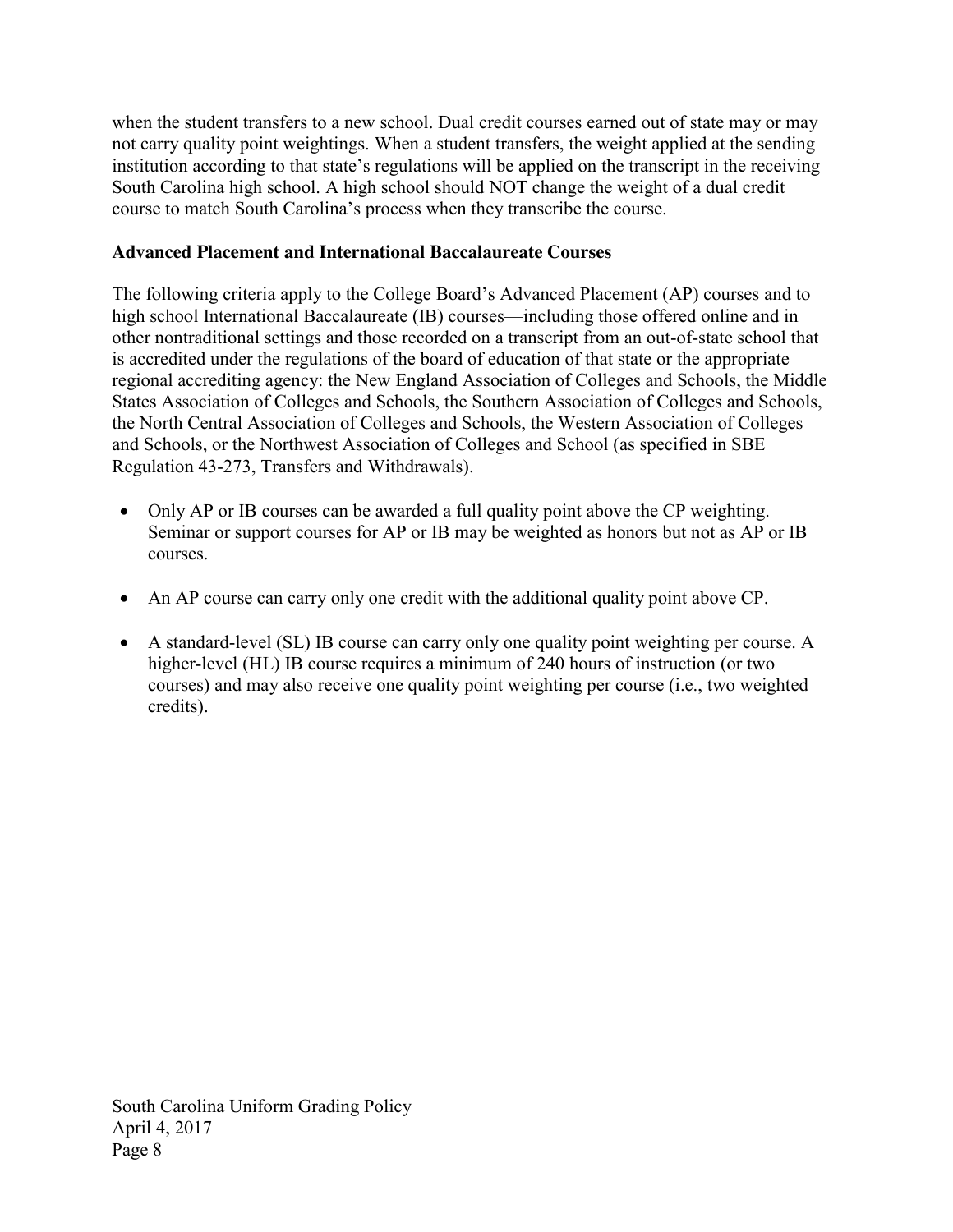when the student transfers to a new school. Dual credit courses earned out of state may or may not carry quality point weightings. When a student transfers, the weight applied at the sending institution according to that state's regulations will be applied on the transcript in the receiving South Carolina high school. A high school should NOT change the weight of a dual credit course to match South Carolina's process when they transcribe the course.

# **Advanced Placement and International Baccalaureate Courses**

The following criteria apply to the College Board's Advanced Placement (AP) courses and to high school International Baccalaureate (IB) courses—including those offered online and in other nontraditional settings and those recorded on a transcript from an out-of-state school that is accredited under the regulations of the board of education of that state or the appropriate regional accrediting agency: the New England Association of Colleges and Schools, the Middle States Association of Colleges and Schools, the Southern Association of Colleges and Schools, the North Central Association of Colleges and Schools, the Western Association of Colleges and Schools, or the Northwest Association of Colleges and School (as specified in SBE Regulation 43-273, Transfers and Withdrawals).

- Only AP or IB courses can be awarded a full quality point above the CP weighting. Seminar or support courses for AP or IB may be weighted as honors but not as AP or IB courses.
- An AP course can carry only one credit with the additional quality point above CP.
- A standard-level (SL) IB course can carry only one quality point weighting per course. A higher-level (HL) IB course requires a minimum of 240 hours of instruction (or two courses) and may also receive one quality point weighting per course (i.e., two weighted credits).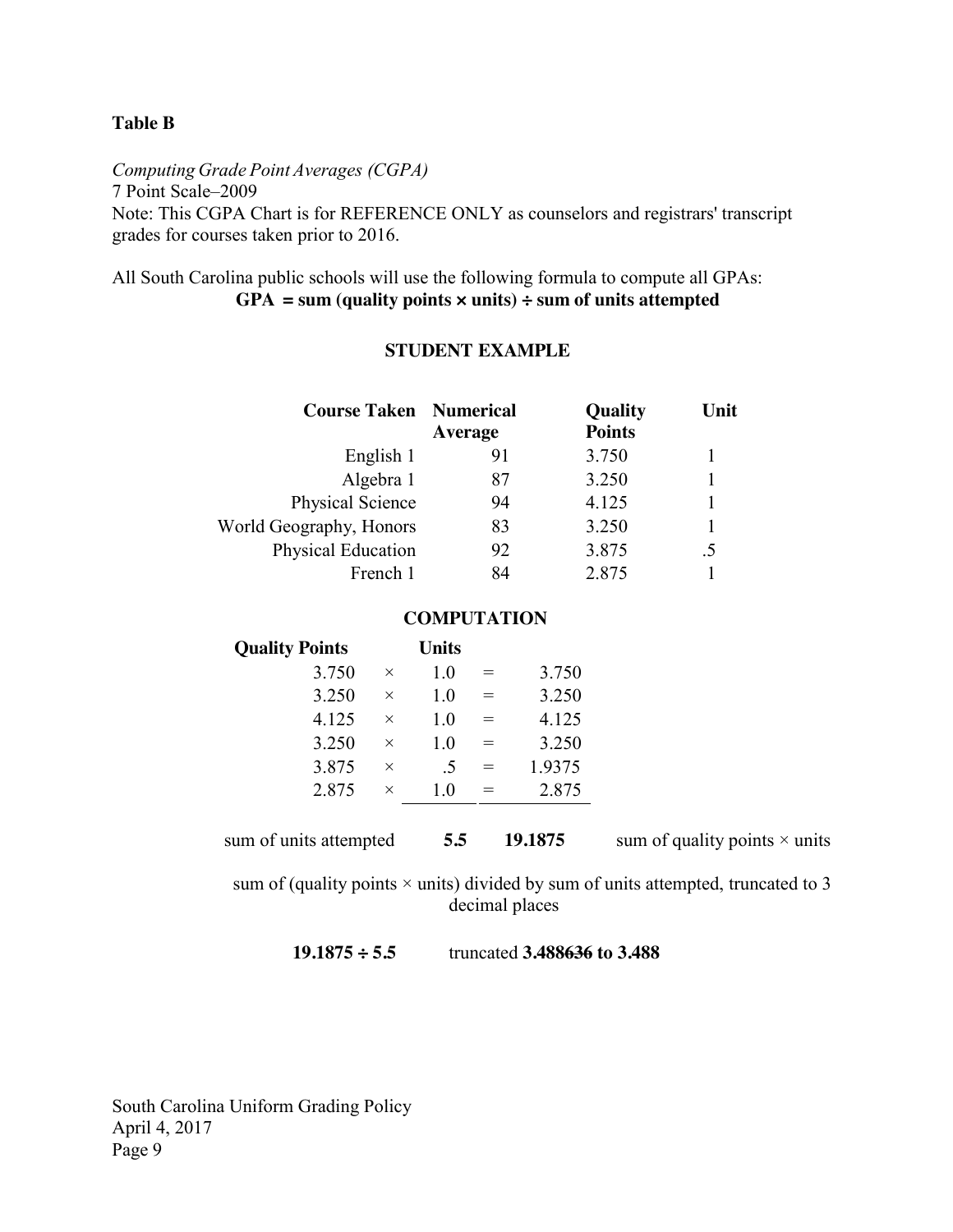#### **Table B**

*Computing Grade Point Averages (CGPA)* 7 Point Scale–2009 Note: This CGPA Chart is for REFERENCE ONLY as counselors and registrars' transcript grades for courses taken prior to 2016.

All South Carolina public schools will use the following formula to compute all GPAs: GPA = sum (quality points  $\times$  units)  $\div$  sum of units attempted

#### **STUDENT EXAMPLE**

| <b>Course Taken Numerical</b> | Average | <b>Quality</b><br><b>Points</b> | Unit |
|-------------------------------|---------|---------------------------------|------|
| English 1                     | 91      | 3.750                           |      |
| Algebra 1                     | 87      | 3.250                           |      |
| Physical Science              | 94      | 4.125                           |      |
| World Geography, Honors       | 83      | 3.250                           |      |
| Physical Education            | 92      | 3.875                           | .5   |
| French 1                      | 84      | 2.875                           |      |

#### **COMPUTATION**

| <b>Quality Points</b> |          | <b>Units</b> |     |        |
|-----------------------|----------|--------------|-----|--------|
| 3.750                 | $\times$ | 1.0          |     | 3.750  |
| 3.250                 | $\times$ | 1.0          | $=$ | 3.250  |
| 4.125                 | $\times$ | 1.0          | $=$ | 4.125  |
| 3.250                 | $\times$ | 1.0          | $=$ | 3.250  |
| 3.875                 | $\times$ | -5           | $=$ | 1.9375 |
| 2.875                 | $\times$ | 1.0          |     | 2.875  |
|                       |          |              |     |        |

sum of units attempted  $\overline{5.5}$  **19.1875** sum of quality points  $\times$  units

sum of (quality points  $\times$  units) divided by sum of units attempted, truncated to 3 decimal places

| $19.1875 \div 5.5$ | truncated 3.488636 to 3.488 |
|--------------------|-----------------------------|
|--------------------|-----------------------------|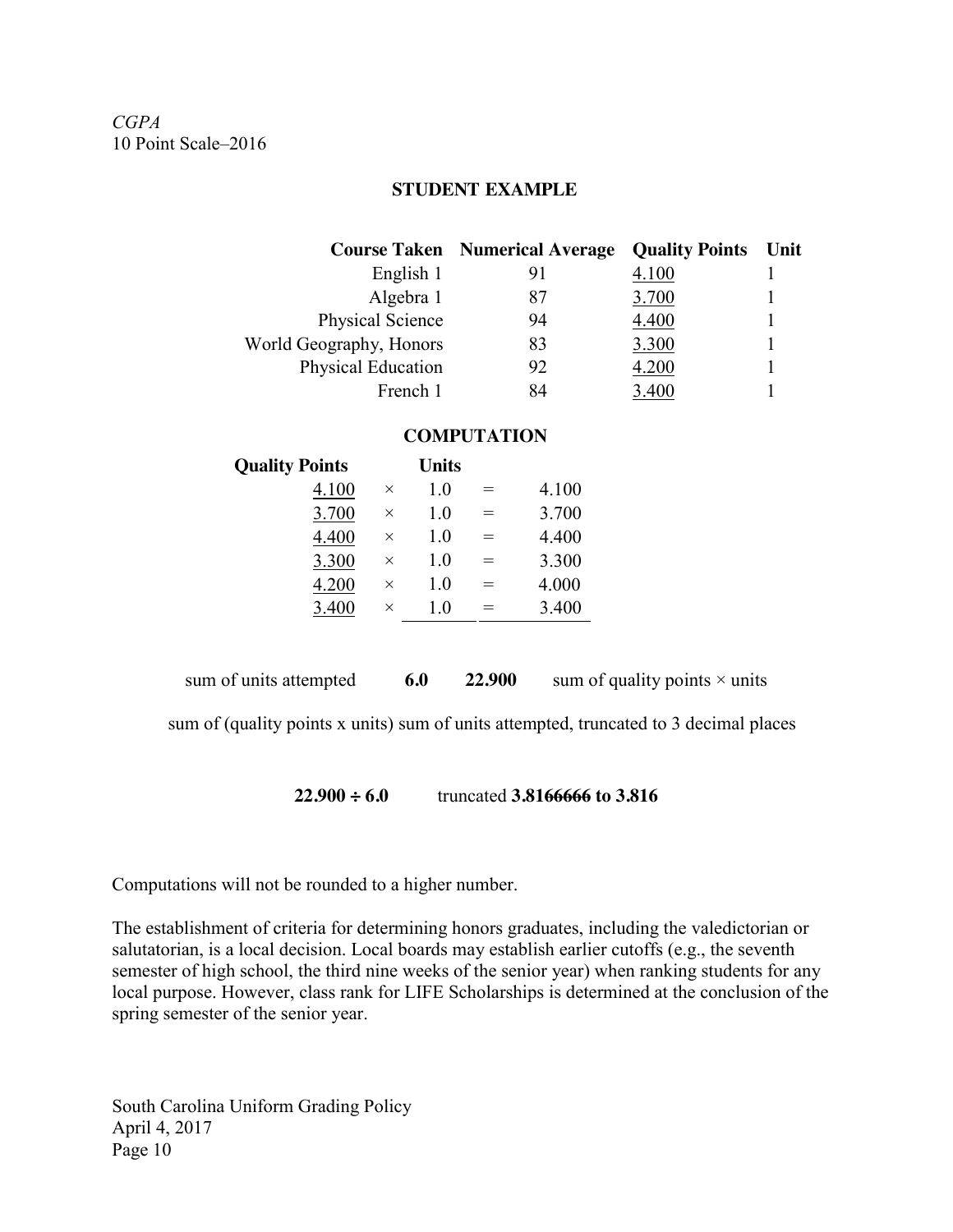*CGPA* 10 Point Scale–2016

#### **STUDENT EXAMPLE**

|                         | <b>Course Taken</b> Numerical Average | <b>Quality Points</b> | Unit |
|-------------------------|---------------------------------------|-----------------------|------|
| English 1               | 91                                    | 4.100                 |      |
| Algebra 1               | 87                                    | 3.700                 |      |
| Physical Science        | 94                                    | 4.400                 |      |
| World Geography, Honors | 83                                    | 3.300                 |      |
| Physical Education      | 92                                    | 4.200                 |      |
| French 1                | 84                                    |                       |      |

#### **COMPUTATION**

| <b>Quality Points</b> |          | <b>Units</b> |          |       |
|-----------------------|----------|--------------|----------|-------|
| 4.100                 | $\times$ | 1.0          | $\equiv$ | 4.100 |
| 3.700                 | $\times$ | 1.0          | $=$      | 3.700 |
| 4.400                 | $\times$ | 1.0          | $=$      | 4.400 |
| 3.300                 | $\times$ | 1.0          | $=$      | 3.300 |
| 4.200                 | $\times$ | 1.0          | $=$      | 4.000 |
| 3.400                 | $\times$ | 1.0          | $=$      | 3.400 |
|                       |          |              |          |       |

sum of units attempted  $\qquad 6.0 \qquad 22.900$  sum of quality points  $\times$  units

sum of (quality points x units) sum of units attempted, truncated to 3 decimal places

**22.900 ÷ 6.0** truncated **3.8166666 to 3.816**

Computations will not be rounded to a higher number.

The establishment of criteria for determining honors graduates, including the valedictorian or salutatorian, is a local decision. Local boards may establish earlier cutoffs (e.g., the seventh semester of high school, the third nine weeks of the senior year) when ranking students for any local purpose. However, class rank for LIFE Scholarships is determined at the conclusion of the spring semester of the senior year.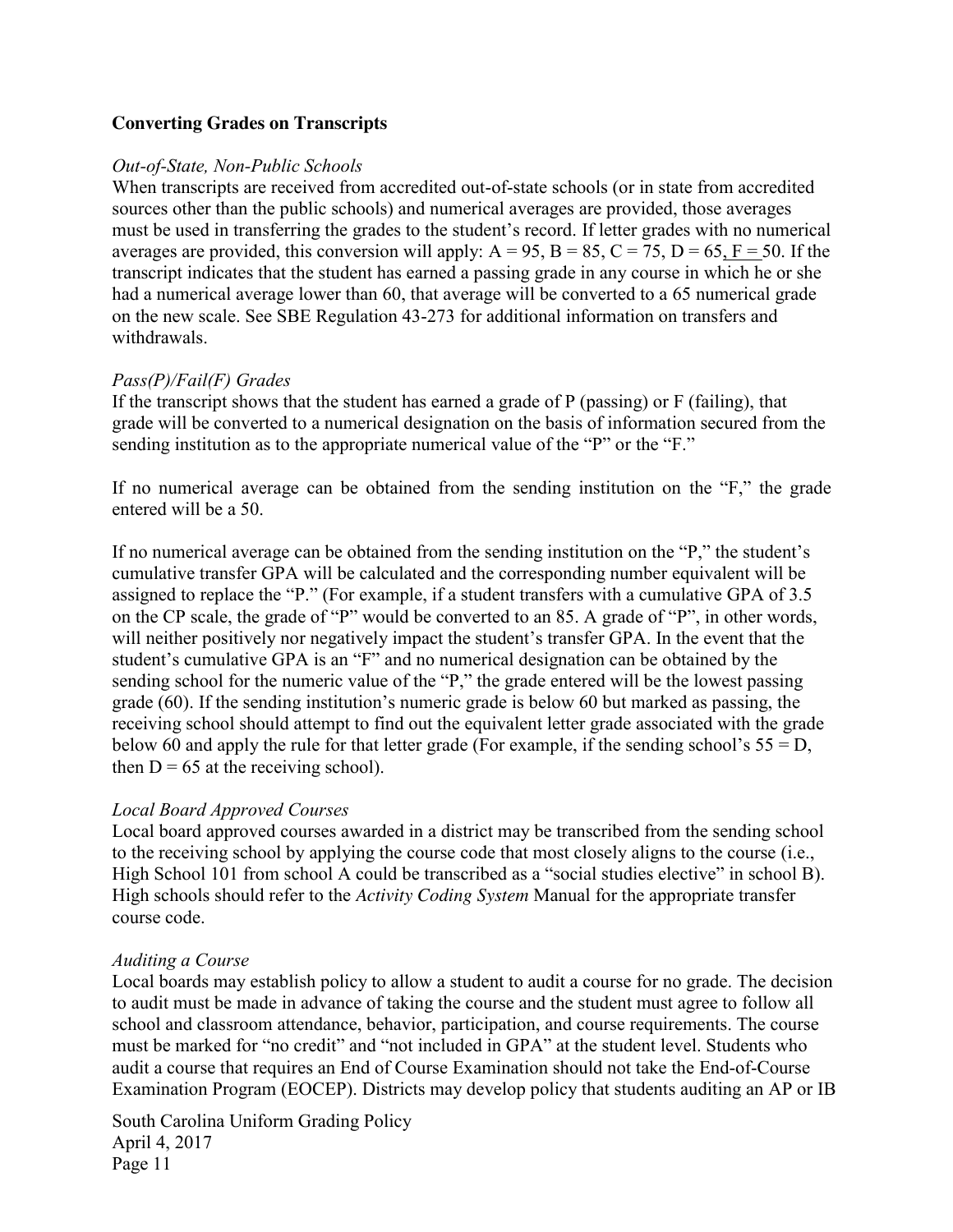# **Converting Grades on Transcripts**

#### *Out-of-State, Non-Public Schools*

When transcripts are received from accredited out-of-state schools (or in state from accredited sources other than the public schools) and numerical averages are provided, those averages must be used in transferring the grades to the student's record. If letter grades with no numerical averages are provided, this conversion will apply:  $A = 95$ ,  $B = 85$ ,  $C = 75$ ,  $D = 65$ ,  $F = 50$ . If the transcript indicates that the student has earned a passing grade in any course in which he or she had a numerical average lower than 60, that average will be converted to a 65 numerical grade on the new scale. See SBE Regulation 43-273 for additional information on transfers and withdrawals.

# *Pass(P)/Fail(F) Grades*

If the transcript shows that the student has earned a grade of P (passing) or F (failing), that grade will be converted to a numerical designation on the basis of information secured from the sending institution as to the appropriate numerical value of the "P" or the "F."

If no numerical average can be obtained from the sending institution on the "F," the grade entered will be a 50.

If no numerical average can be obtained from the sending institution on the "P," the student's cumulative transfer GPA will be calculated and the corresponding number equivalent will be assigned to replace the "P." (For example, if a student transfers with a cumulative GPA of 3.5 on the CP scale, the grade of "P" would be converted to an 85. A grade of "P", in other words, will neither positively nor negatively impact the student's transfer GPA. In the event that the student's cumulative GPA is an "F" and no numerical designation can be obtained by the sending school for the numeric value of the "P," the grade entered will be the lowest passing grade (60). If the sending institution's numeric grade is below 60 but marked as passing, the receiving school should attempt to find out the equivalent letter grade associated with the grade below 60 and apply the rule for that letter grade (For example, if the sending school's  $55 = D$ , then  $D = 65$  at the receiving school).

# *Local Board Approved Courses*

Local board approved courses awarded in a district may be transcribed from the sending school to the receiving school by applying the course code that most closely aligns to the course (i.e., High School 101 from school A could be transcribed as a "social studies elective" in school B). High schools should refer to the *Activity Coding System* Manual for the appropriate transfer course code.

#### *Auditing a Course*

Local boards may establish policy to allow a student to audit a course for no grade. The decision to audit must be made in advance of taking the course and the student must agree to follow all school and classroom attendance, behavior, participation, and course requirements. The course must be marked for "no credit" and "not included in GPA" at the student level. Students who audit a course that requires an End of Course Examination should not take the End-of-Course Examination Program (EOCEP). Districts may develop policy that students auditing an AP or IB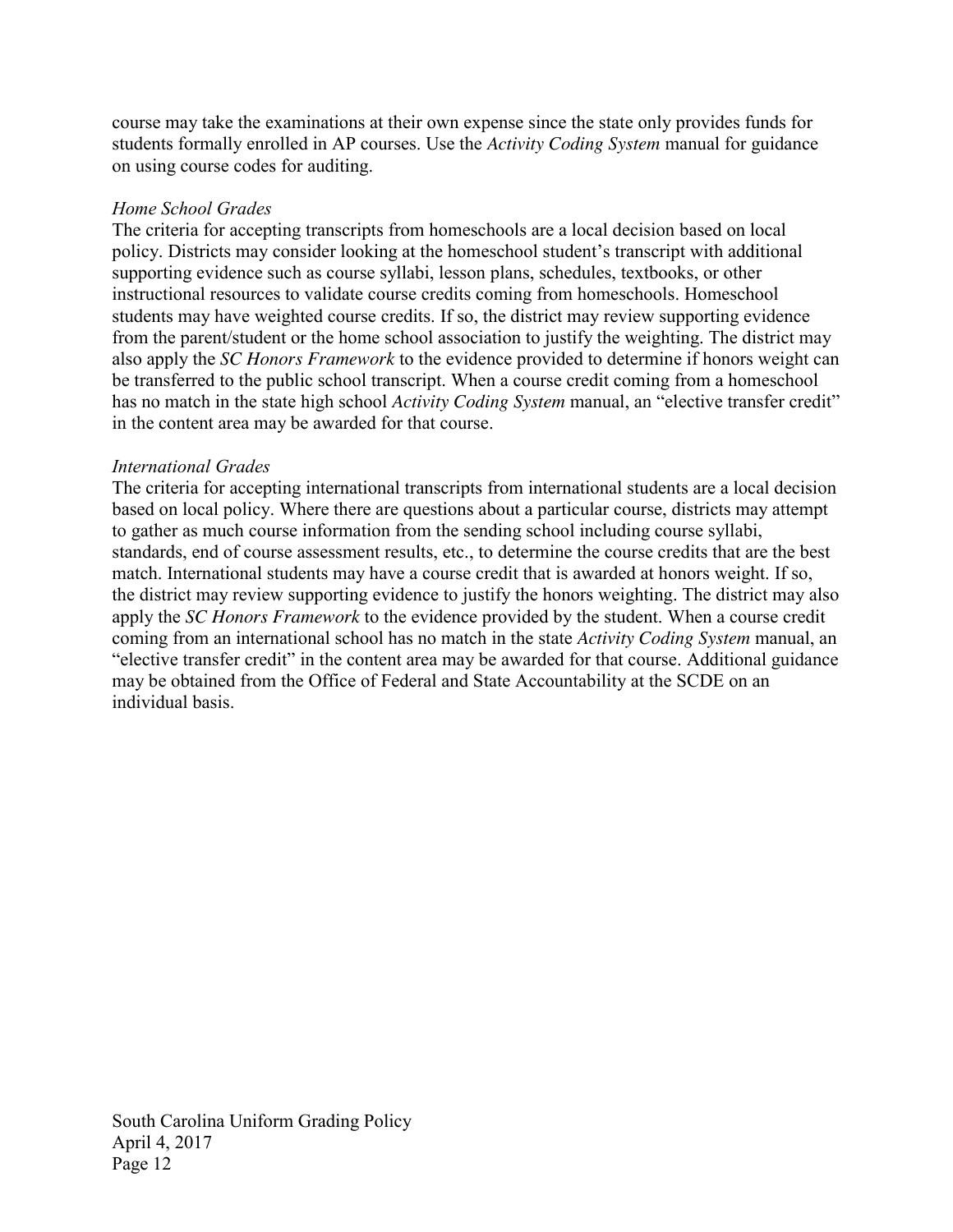course may take the examinations at their own expense since the state only provides funds for students formally enrolled in AP courses. Use the *Activity Coding System* manual for guidance on using course codes for auditing.

# *Home School Grades*

The criteria for accepting transcripts from homeschools are a local decision based on local policy. Districts may consider looking at the homeschool student's transcript with additional supporting evidence such as course syllabi, lesson plans, schedules, textbooks, or other instructional resources to validate course credits coming from homeschools. Homeschool students may have weighted course credits. If so, the district may review supporting evidence from the parent/student or the home school association to justify the weighting. The district may also apply the *SC Honors Framework* to the evidence provided to determine if honors weight can be transferred to the public school transcript. When a course credit coming from a homeschool has no match in the state high school *Activity Coding System* manual, an "elective transfer credit" in the content area may be awarded for that course.

#### *International Grades*

The criteria for accepting international transcripts from international students are a local decision based on local policy. Where there are questions about a particular course, districts may attempt to gather as much course information from the sending school including course syllabi, standards, end of course assessment results, etc., to determine the course credits that are the best match. International students may have a course credit that is awarded at honors weight. If so, the district may review supporting evidence to justify the honors weighting. The district may also apply the *SC Honors Framework* to the evidence provided by the student. When a course credit coming from an international school has no match in the state *Activity Coding System* manual, an "elective transfer credit" in the content area may be awarded for that course. Additional guidance may be obtained from the Office of Federal and State Accountability at the SCDE on an individual basis.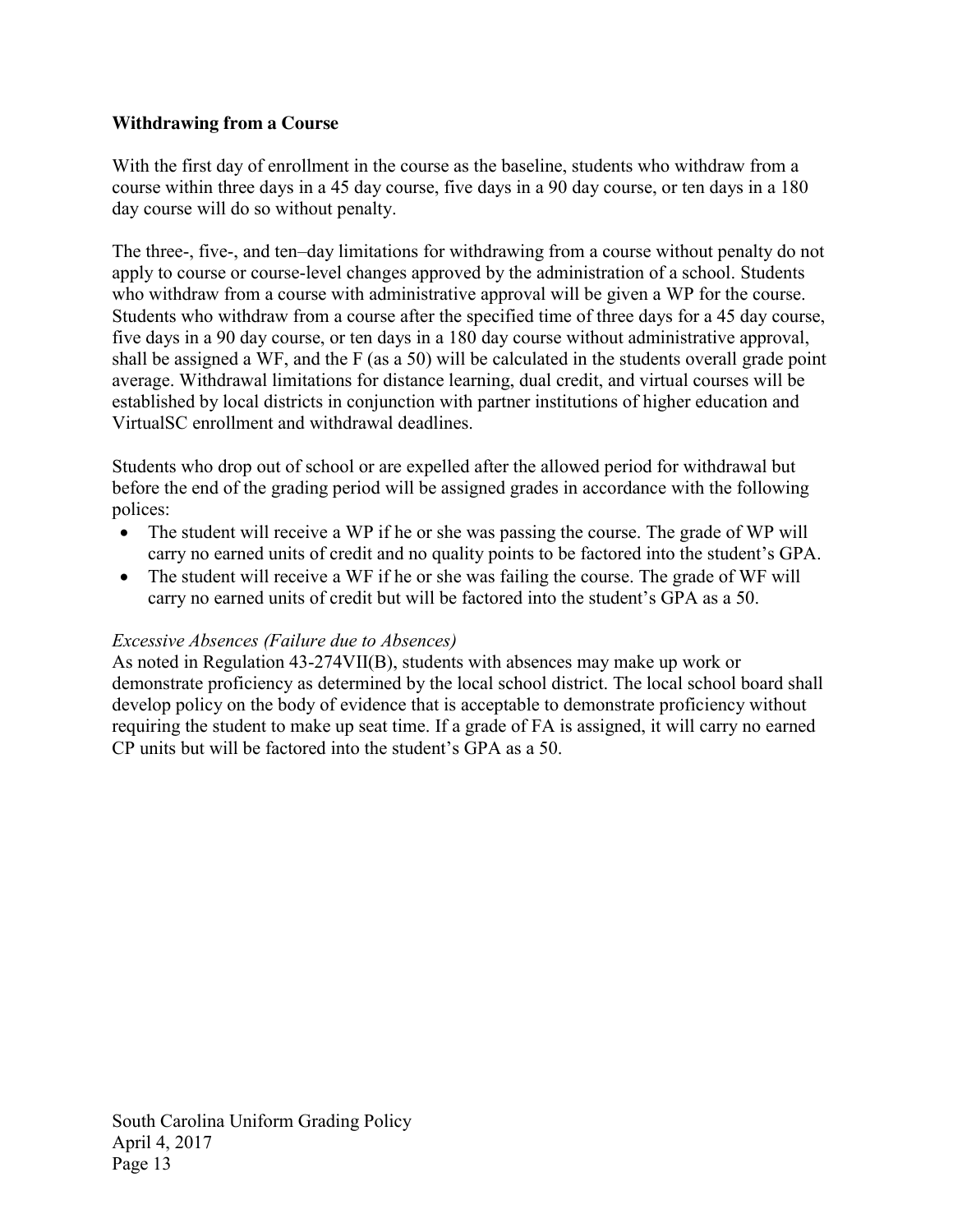# **Withdrawing from a Course**

With the first day of enrollment in the course as the baseline, students who withdraw from a course within three days in a 45 day course, five days in a 90 day course, or ten days in a 180 day course will do so without penalty.

The three-, five-, and ten–day limitations for withdrawing from a course without penalty do not apply to course or course-level changes approved by the administration of a school. Students who withdraw from a course with administrative approval will be given a WP for the course. Students who withdraw from a course after the specified time of three days for a 45 day course, five days in a 90 day course, or ten days in a 180 day course without administrative approval, shall be assigned a WF, and the F (as a 50) will be calculated in the students overall grade point average. Withdrawal limitations for distance learning, dual credit, and virtual courses will be established by local districts in conjunction with partner institutions of higher education and VirtualSC enrollment and withdrawal deadlines.

Students who drop out of school or are expelled after the allowed period for withdrawal but before the end of the grading period will be assigned grades in accordance with the following polices:

- The student will receive a WP if he or she was passing the course. The grade of WP will carry no earned units of credit and no quality points to be factored into the student's GPA.
- The student will receive a WF if he or she was failing the course. The grade of WF will carry no earned units of credit but will be factored into the student's GPA as a 50.

# *Excessive Absences (Failure due to Absences)*

As noted in Regulation 43-274VII(B), students with absences may make up work or demonstrate proficiency as determined by the local school district. The local school board shall develop policy on the body of evidence that is acceptable to demonstrate proficiency without requiring the student to make up seat time. If a grade of FA is assigned, it will carry no earned CP units but will be factored into the student's GPA as a 50.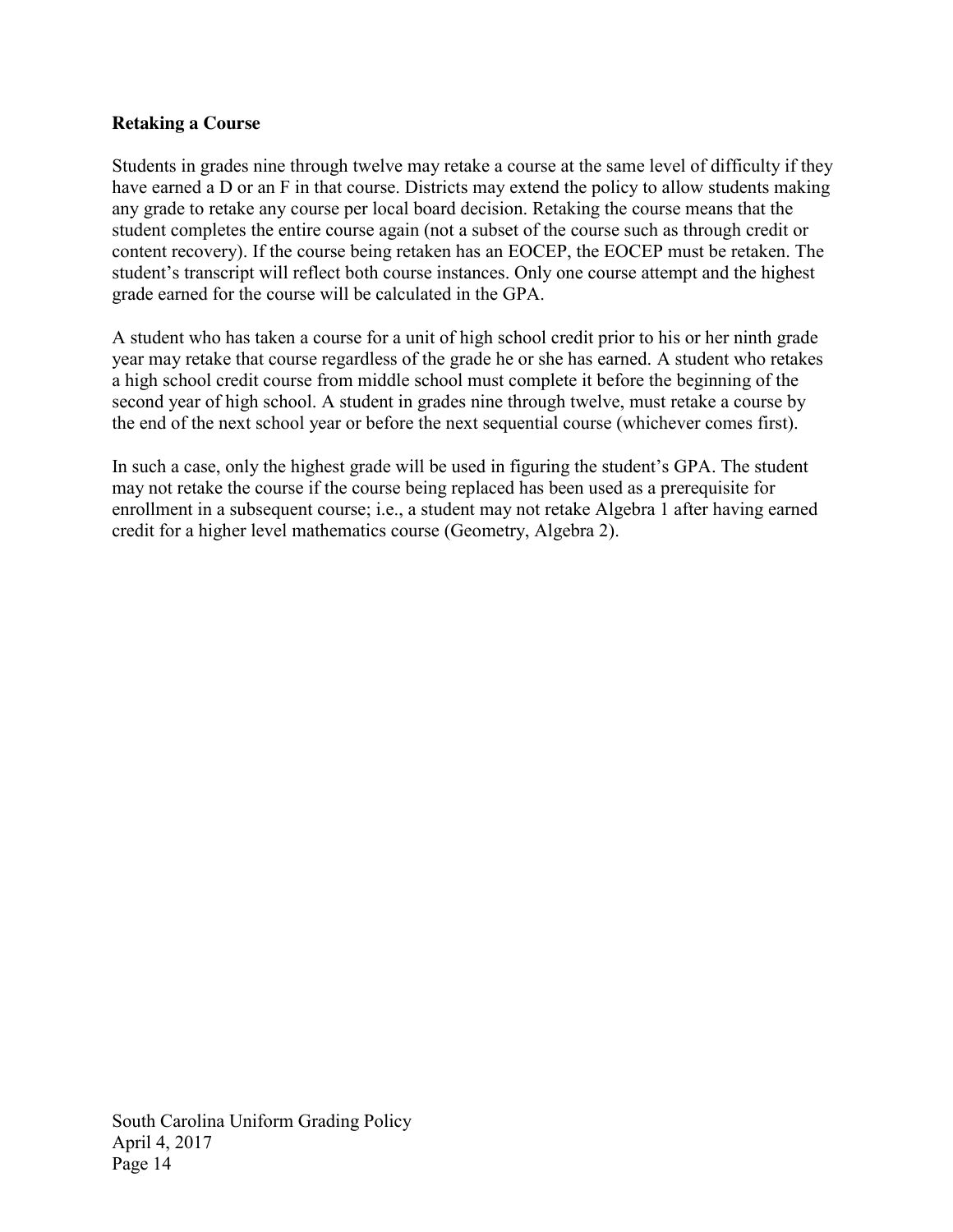# **Retaking a Course**

Students in grades nine through twelve may retake a course at the same level of difficulty if they have earned a D or an F in that course. Districts may extend the policy to allow students making any grade to retake any course per local board decision. Retaking the course means that the student completes the entire course again (not a subset of the course such as through credit or content recovery). If the course being retaken has an EOCEP, the EOCEP must be retaken. The student's transcript will reflect both course instances. Only one course attempt and the highest grade earned for the course will be calculated in the GPA.

A student who has taken a course for a unit of high school credit prior to his or her ninth grade year may retake that course regardless of the grade he or she has earned. A student who retakes a high school credit course from middle school must complete it before the beginning of the second year of high school. A student in grades nine through twelve, must retake a course by the end of the next school year or before the next sequential course (whichever comes first).

In such a case, only the highest grade will be used in figuring the student's GPA. The student may not retake the course if the course being replaced has been used as a prerequisite for enrollment in a subsequent course; i.e., a student may not retake Algebra 1 after having earned credit for a higher level mathematics course (Geometry, Algebra 2).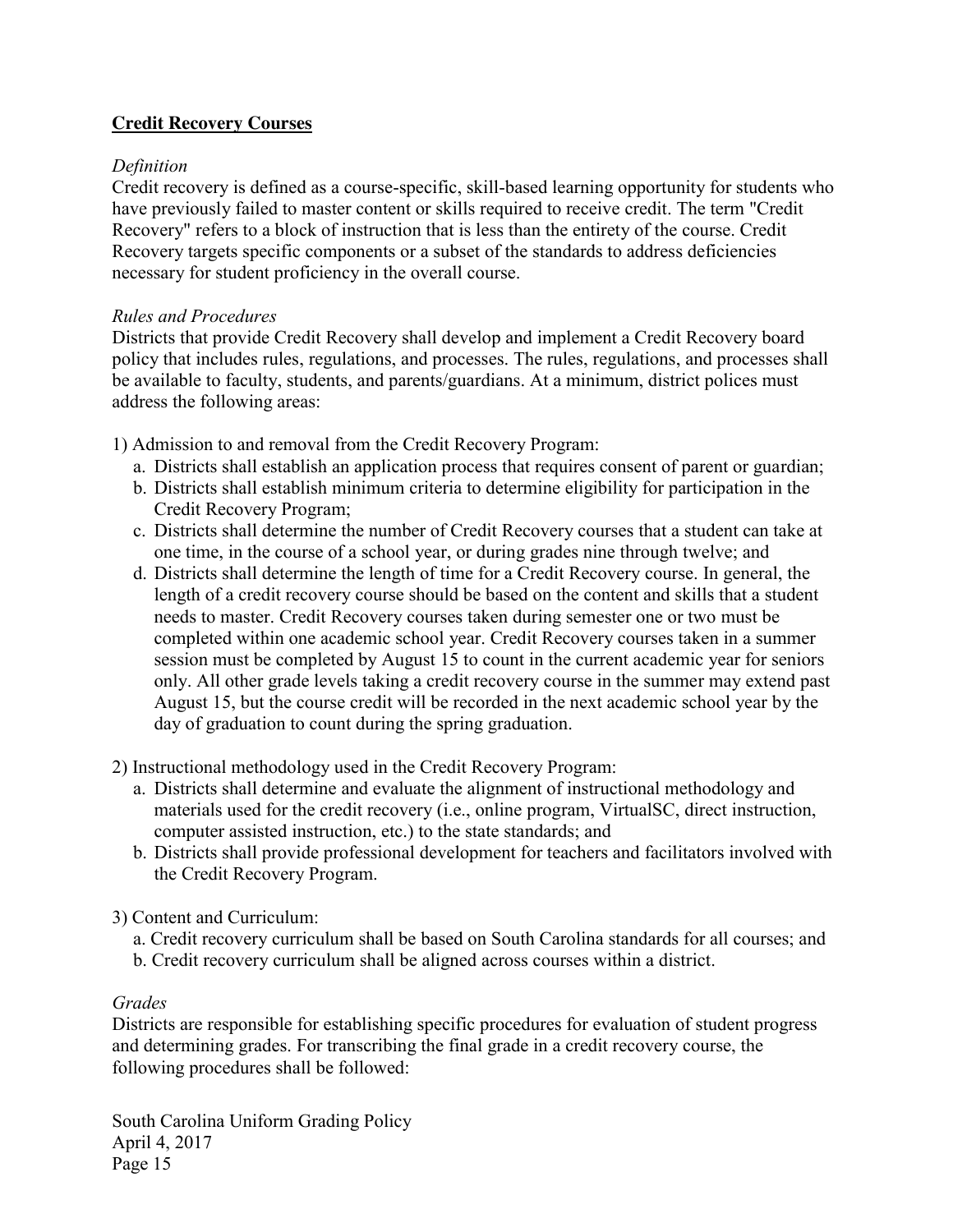# **Credit Recovery Courses**

# *Definition*

Credit recovery is defined as a course-specific, skill-based learning opportunity for students who have previously failed to master content or skills required to receive credit. The term "Credit Recovery" refers to a block of instruction that is less than the entirety of the course. Credit Recovery targets specific components or a subset of the standards to address deficiencies necessary for student proficiency in the overall course.

#### *Rules and Procedures*

Districts that provide Credit Recovery shall develop and implement a Credit Recovery board policy that includes rules, regulations, and processes. The rules, regulations, and processes shall be available to faculty, students, and parents/guardians. At a minimum, district polices must address the following areas:

1) Admission to and removal from the Credit Recovery Program:

- a. Districts shall establish an application process that requires consent of parent or guardian;
- b. Districts shall establish minimum criteria to determine eligibility for participation in the Credit Recovery Program;
- c. Districts shall determine the number of Credit Recovery courses that a student can take at one time, in the course of a school year, or during grades nine through twelve; and
- d. Districts shall determine the length of time for a Credit Recovery course. In general, the length of a credit recovery course should be based on the content and skills that a student needs to master. Credit Recovery courses taken during semester one or two must be completed within one academic school year. Credit Recovery courses taken in a summer session must be completed by August 15 to count in the current academic year for seniors only. All other grade levels taking a credit recovery course in the summer may extend past August 15, but the course credit will be recorded in the next academic school year by the day of graduation to count during the spring graduation.
- 2) Instructional methodology used in the Credit Recovery Program:
	- a. Districts shall determine and evaluate the alignment of instructional methodology and materials used for the credit recovery (i.e., online program, VirtualSC, direct instruction, computer assisted instruction, etc.) to the state standards; and
	- b. Districts shall provide professional development for teachers and facilitators involved with the Credit Recovery Program.
- 3) Content and Curriculum:
	- a. Credit recovery curriculum shall be based on South Carolina standards for all courses; and
	- b. Credit recovery curriculum shall be aligned across courses within a district.

#### *Grades*

Districts are responsible for establishing specific procedures for evaluation of student progress and determining grades. For transcribing the final grade in a credit recovery course, the following procedures shall be followed: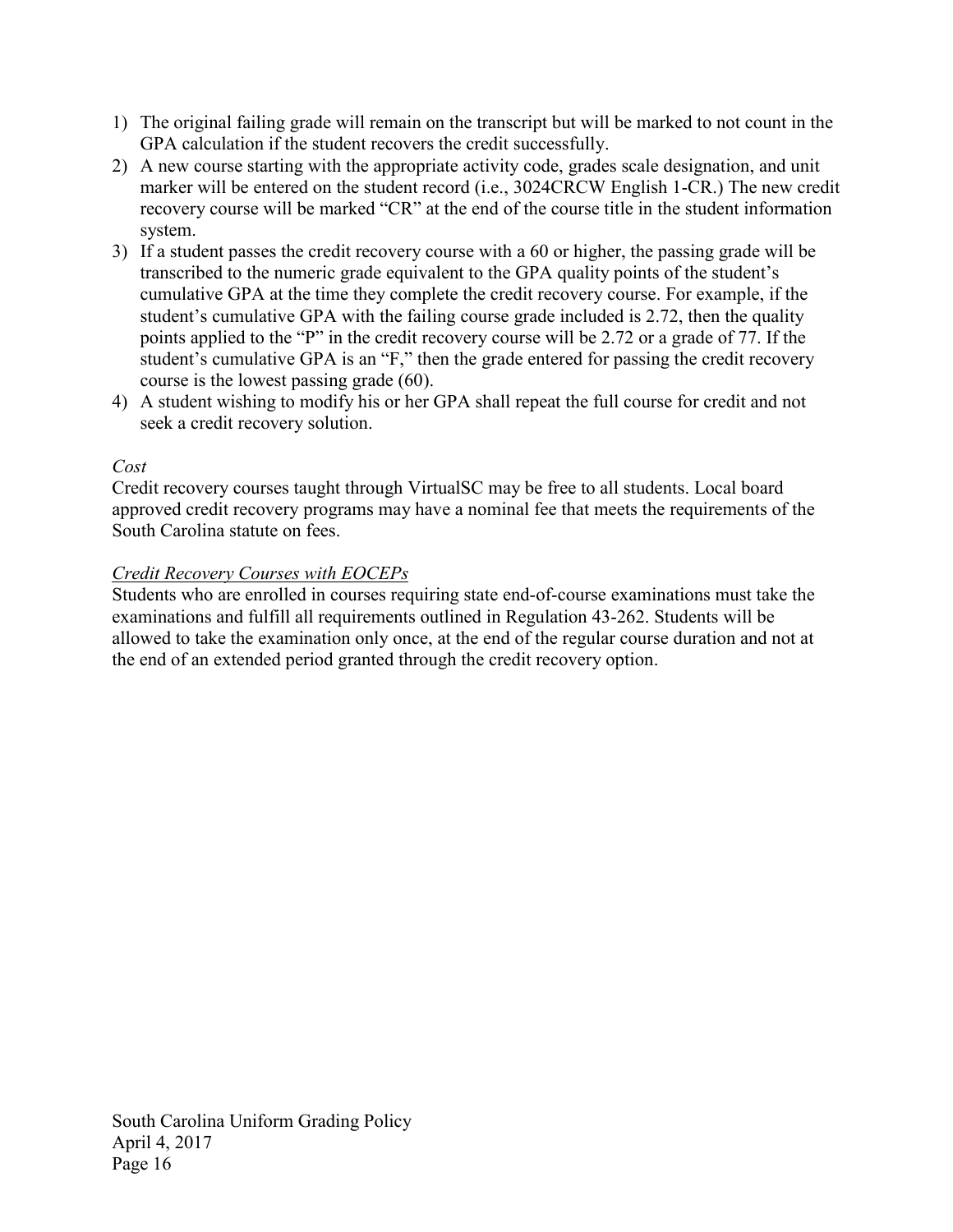- 1) The original failing grade will remain on the transcript but will be marked to not count in the GPA calculation if the student recovers the credit successfully.
- 2) A new course starting with the appropriate activity code, grades scale designation, and unit marker will be entered on the student record (i.e., 3024CRCW English 1-CR.) The new credit recovery course will be marked "CR" at the end of the course title in the student information system.
- 3) If a student passes the credit recovery course with a 60 or higher, the passing grade will be transcribed to the numeric grade equivalent to the GPA quality points of the student's cumulative GPA at the time they complete the credit recovery course. For example, if the student's cumulative GPA with the failing course grade included is 2.72, then the quality points applied to the "P" in the credit recovery course will be 2.72 or a grade of 77. If the student's cumulative GPA is an "F," then the grade entered for passing the credit recovery course is the lowest passing grade (60).
- 4) A student wishing to modify his or her GPA shall repeat the full course for credit and not seek a credit recovery solution.

# *Cost*

Credit recovery courses taught through VirtualSC may be free to all students. Local board approved credit recovery programs may have a nominal fee that meets the requirements of the South Carolina statute on fees.

# *Credit Recovery Courses with EOCEPs*

Students who are enrolled in courses requiring state end-of-course examinations must take the examinations and fulfill all requirements outlined in Regulation 43-262. Students will be allowed to take the examination only once, at the end of the regular course duration and not at the end of an extended period granted through the credit recovery option.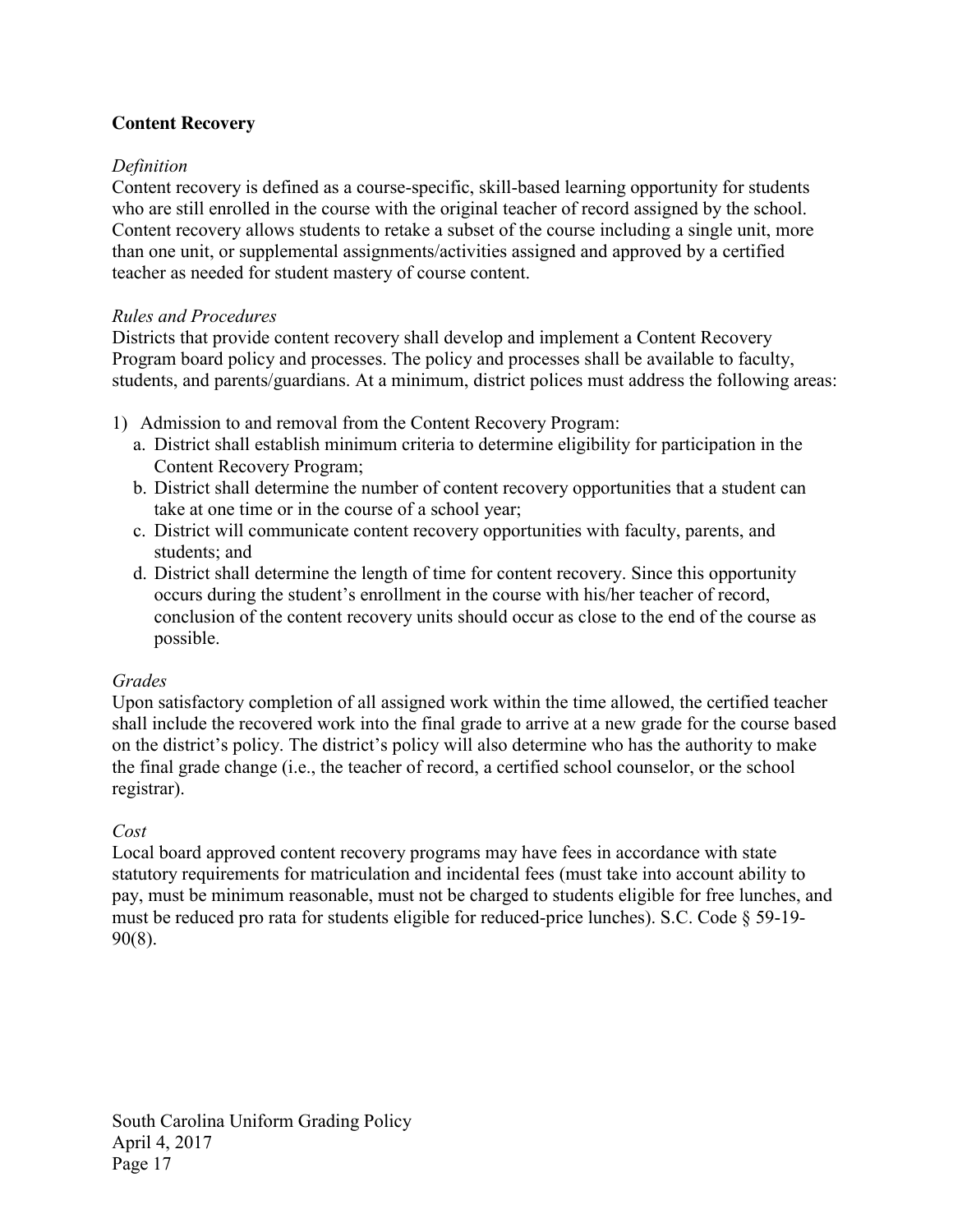# **Content Recovery**

# *Definition*

Content recovery is defined as a course-specific, skill-based learning opportunity for students who are still enrolled in the course with the original teacher of record assigned by the school. Content recovery allows students to retake a subset of the course including a single unit, more than one unit, or supplemental assignments/activities assigned and approved by a certified teacher as needed for student mastery of course content.

# *Rules and Procedures*

Districts that provide content recovery shall develop and implement a Content Recovery Program board policy and processes. The policy and processes shall be available to faculty, students, and parents/guardians. At a minimum, district polices must address the following areas:

- 1) Admission to and removal from the Content Recovery Program:
	- a. District shall establish minimum criteria to determine eligibility for participation in the Content Recovery Program;
	- b. District shall determine the number of content recovery opportunities that a student can take at one time or in the course of a school year;
	- c. District will communicate content recovery opportunities with faculty, parents, and students; and
	- d. District shall determine the length of time for content recovery. Since this opportunity occurs during the student's enrollment in the course with his/her teacher of record, conclusion of the content recovery units should occur as close to the end of the course as possible.

# *Grades*

Upon satisfactory completion of all assigned work within the time allowed, the certified teacher shall include the recovered work into the final grade to arrive at a new grade for the course based on the district's policy. The district's policy will also determine who has the authority to make the final grade change (i.e., the teacher of record, a certified school counselor, or the school registrar).

# *Cost*

Local board approved content recovery programs may have fees in accordance with state statutory requirements for matriculation and incidental fees (must take into account ability to pay, must be minimum reasonable, must not be charged to students eligible for free lunches, and must be reduced pro rata for students eligible for reduced-price lunches). S.C. Code § 59-19- 90(8).